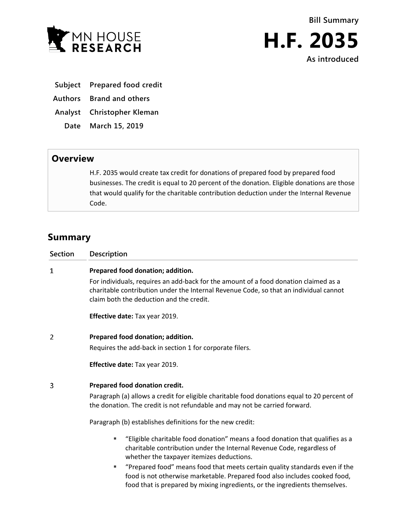



- **Subject Prepared food credit**
- **Authors Brand and others**
- **Analyst Christopher Kleman**
	- **Date March 15, 2019**

## **Overview**

H.F. 2035 would create tax credit for donations of prepared food by prepared food businesses. The credit is equal to 20 percent of the donation. Eligible donations are those that would qualify for the charitable contribution deduction under the Internal Revenue Code.

## **Summary**

| <b>Section</b> | Description                                                                                                                                                                                                                                   |
|----------------|-----------------------------------------------------------------------------------------------------------------------------------------------------------------------------------------------------------------------------------------------|
| 1              | Prepared food donation; addition.                                                                                                                                                                                                             |
|                | For individuals, requires an add-back for the amount of a food donation claimed as a<br>charitable contribution under the Internal Revenue Code, so that an individual cannot<br>claim both the deduction and the credit.                     |
|                | Effective date: Tax year 2019.                                                                                                                                                                                                                |
| $\overline{2}$ | Prepared food donation; addition.                                                                                                                                                                                                             |
|                | Requires the add-back in section 1 for corporate filers.                                                                                                                                                                                      |
|                | Effective date: Tax year 2019.                                                                                                                                                                                                                |
| 3              | Prepared food donation credit.                                                                                                                                                                                                                |
|                | Paragraph (a) allows a credit for eligible charitable food donations equal to 20 percent of<br>the donation. The credit is not refundable and may not be carried forward.                                                                     |
|                | Paragraph (b) establishes definitions for the new credit:                                                                                                                                                                                     |
|                | "Eligible charitable food donation" means a food donation that qualifies as a<br>٠<br>charitable contribution under the Internal Revenue Code, regardless of<br>whether the taxpayer itemizes deductions.                                     |
|                | "Prepared food" means food that meets certain quality standards even if the<br>٠<br>food is not otherwise marketable. Prepared food also includes cooked food,<br>food that is prepared by mixing ingredients, or the ingredients themselves. |